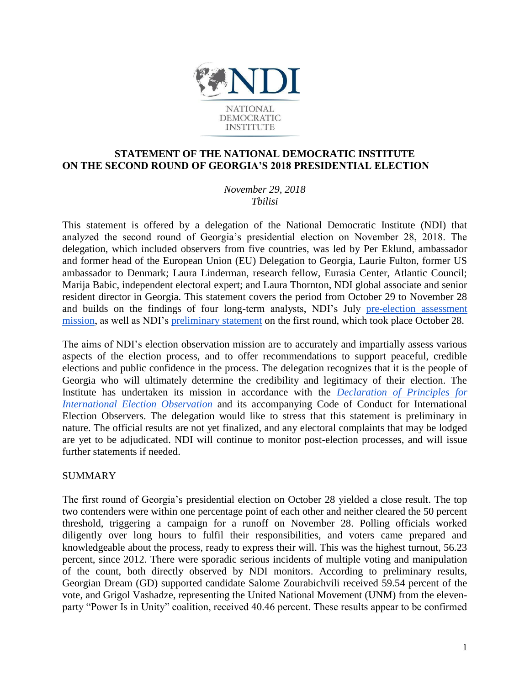

# **STATEMENT OF THE NATIONAL DEMOCRATIC INSTITUTE ON THE SECOND ROUND OF GEORGIA'S 2018 PRESIDENTIAL ELECTION**

*November 29, 2018 Tbilisi*

This statement is offered by a delegation of the National Democratic Institute (NDI) that analyzed the second round of Georgia's presidential election on November 28, 2018. The delegation, which included observers from five countries, was led by Per Eklund, ambassador and former head of the European Union (EU) Delegation to Georgia, Laurie Fulton, former US ambassador to Denmark; Laura Linderman, research fellow, Eurasia Center, Atlantic Council; Marija Babic, independent electoral expert; and Laura Thornton, NDI global associate and senior resident director in Georgia. This statement covers the period from October 29 to November 28 and builds on the findings of four long-term analysts, NDI's July [pre-election](https://bit.ly/2qhD7vA) [assessment](https://bit.ly/2qhD7vA) [mission,](https://bit.ly/2qhD7vA) as well as NDI's [preliminary](https://www.ndi.org/sites/default/files/NDI%20Georgia_2018%20Presidential%20elections%20preliminary%20statement_ENG_0.pdf) [statement](https://www.ndi.org/sites/default/files/NDI%20Georgia_2018%20Presidential%20elections%20preliminary%20statement_ENG_0.pdf) on the first round, which took place October 28.

The aims of NDI's election observation mission are to accurately and impartially assess various aspects of the election process, and to offer recommendations to support peaceful, credible elections and public confidence in the process. The delegation recognizes that it is the people of Georgia who will ultimately determine the credibility and legitimacy of their election. The Institute has undertaken its mission in accordance with the *[Declaration](https://www.ndi.org/DoP) [of](https://www.ndi.org/DoP) [Principles](https://www.ndi.org/DoP) [for](https://www.ndi.org/DoP) [International](https://www.ndi.org/DoP) [Election](https://www.ndi.org/DoP) [Observation](https://www.ndi.org/DoP)* and its accompanying Code of Conduct for International Election Observers. The delegation would like to stress that this statement is preliminary in nature. The official results are not yet finalized, and any electoral complaints that may be lodged are yet to be adjudicated. NDI will continue to monitor post-election processes, and will issue further statements if needed.

### SUMMARY

The first round of Georgia's presidential election on October 28 yielded a close result. The top two contenders were within one percentage point of each other and neither cleared the 50 percent threshold, triggering a campaign for a runoff on November 28. Polling officials worked diligently over long hours to fulfil their responsibilities, and voters came prepared and knowledgeable about the process, ready to express their will. This was the highest turnout, 56.23 percent, since 2012. There were sporadic serious incidents of multiple voting and manipulation of the count, both directly observed by NDI monitors. According to preliminary results, Georgian Dream (GD) supported candidate Salome Zourabichvili received 59.54 percent of the vote, and Grigol Vashadze, representing the United National Movement (UNM) from the elevenparty "Power Is in Unity" coalition, received 40.46 percent. These results appear to be confirmed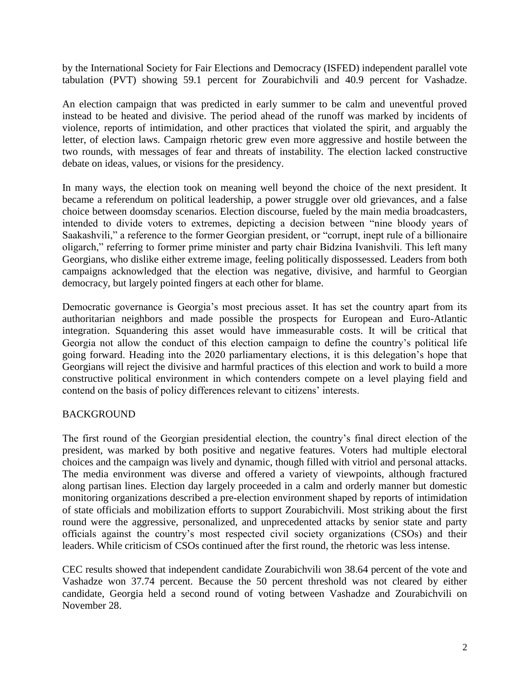by the International Society for Fair Elections and Democracy (ISFED) independent parallel vote tabulation (PVT) showing 59.1 percent for Zourabichvili and 40.9 percent for Vashadze.

An election campaign that was predicted in early summer to be calm and uneventful proved instead to be heated and divisive. The period ahead of the runoff was marked by incidents of violence, reports of intimidation, and other practices that violated the spirit, and arguably the letter, of election laws. Campaign rhetoric grew even more aggressive and hostile between the two rounds, with messages of fear and threats of instability. The election lacked constructive debate on ideas, values, or visions for the presidency.

In many ways, the election took on meaning well beyond the choice of the next president. It became a referendum on political leadership, a power struggle over old grievances, and a false choice between doomsday scenarios. Election discourse, fueled by the main media broadcasters, intended to divide voters to extremes, depicting a decision between "nine bloody years of Saakashvili," a reference to the former Georgian president, or "corrupt, inept rule of a billionaire oligarch," referring to former prime minister and party chair Bidzina Ivanishvili. This left many Georgians, who dislike either extreme image, feeling politically dispossessed. Leaders from both campaigns acknowledged that the election was negative, divisive, and harmful to Georgian democracy, but largely pointed fingers at each other for blame.

Democratic governance is Georgia's most precious asset. It has set the country apart from its authoritarian neighbors and made possible the prospects for European and Euro-Atlantic integration. Squandering this asset would have immeasurable costs. It will be critical that Georgia not allow the conduct of this election campaign to define the country's political life going forward. Heading into the 2020 parliamentary elections, it is this delegation's hope that Georgians will reject the divisive and harmful practices of this election and work to build a more constructive political environment in which contenders compete on a level playing field and contend on the basis of policy differences relevant to citizens' interests.

## BACKGROUND

The first round of the Georgian presidential election, the country's final direct election of the president, was marked by both positive and negative features. Voters had multiple electoral choices and the campaign was lively and dynamic, though filled with vitriol and personal attacks. The media environment was diverse and offered a variety of viewpoints, although fractured along partisan lines. Election day largely proceeded in a calm and orderly manner but domestic monitoring organizations described a pre-election environment shaped by reports of intimidation of state officials and mobilization efforts to support Zourabichvili. Most striking about the first round were the aggressive, personalized, and unprecedented attacks by senior state and party officials against the country's most respected civil society organizations (CSOs) and their leaders. While criticism of CSOs continued after the first round, the rhetoric was less intense.

CEC results showed that independent candidate Zourabichvili won 38.64 percent of the vote and Vashadze won 37.74 percent. Because the 50 percent threshold was not cleared by either candidate, Georgia held a second round of voting between Vashadze and Zourabichvili on November 28.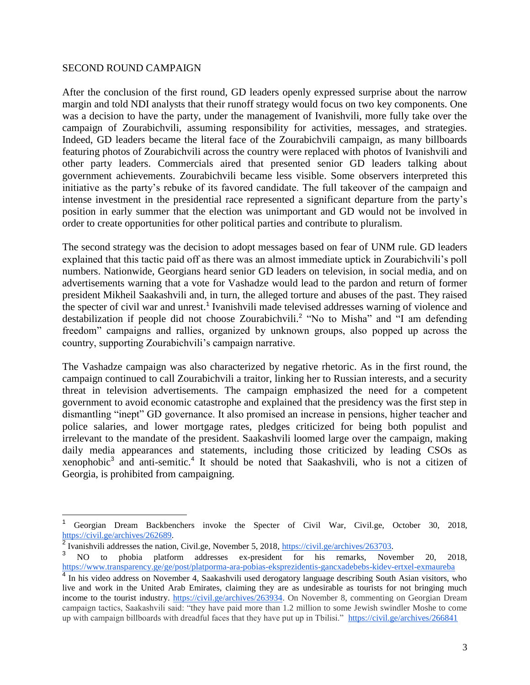#### SECOND ROUND CAMPAIGN

 $\overline{a}$ 

After the conclusion of the first round, GD leaders openly expressed surprise about the narrow margin and told NDI analysts that their runoff strategy would focus on two key components. One was a decision to have the party, under the management of Ivanishvili, more fully take over the campaign of Zourabichvili, assuming responsibility for activities, messages, and strategies. Indeed, GD leaders became the literal face of the Zourabichvili campaign, as many billboards featuring photos of Zourabichvili across the country were replaced with photos of Ivanishvili and other party leaders. Commercials aired that presented senior GD leaders talking about government achievements. Zourabichvili became less visible. Some observers interpreted this initiative as the party's rebuke of its favored candidate. The full takeover of the campaign and intense investment in the presidential race represented a significant departure from the party's position in early summer that the election was unimportant and GD would not be involved in order to create opportunities for other political parties and contribute to pluralism.

The second strategy was the decision to adopt messages based on fear of UNM rule. GD leaders explained that this tactic paid off as there was an almost immediate uptick in Zourabichvili's poll numbers. Nationwide, Georgians heard senior GD leaders on television, in social media, and on advertisements warning that a vote for Vashadze would lead to the pardon and return of former president Mikheil Saakashvili and, in turn, the alleged torture and abuses of the past. They raised the specter of civil war and unrest.<sup>1</sup> Ivanishvili made televised addresses warning of violence and destabilization if people did not choose Zourabichvili.<sup>2</sup> "No to Misha" and "I am defending freedom" campaigns and rallies, organized by unknown groups, also popped up across the country, supporting Zourabichvili's campaign narrative.

The Vashadze campaign was also characterized by negative rhetoric. As in the first round, the campaign continued to call Zourabichvili a traitor, linking her to Russian interests, and a security threat in television advertisements. The campaign emphasized the need for a competent government to avoid economic catastrophe and explained that the presidency was the first step in dismantling "inept" GD governance. It also promised an increase in pensions, higher teacher and police salaries, and lower mortgage rates, pledges criticized for being both populist and irrelevant to the mandate of the president. Saakashvili loomed large over the campaign, making daily media appearances and statements, including those criticized by leading CSOs as xenophobic<sup>3</sup> and anti-semitic.<sup>4</sup> It should be noted that Saakashvili, who is not a citizen of Georgia, is prohibited from campaigning.

<sup>1</sup> Georgian Dream Backbenchers invoke the Specter of Civil War, Civil.ge, October 30, 2018, [https://civil.ge/archives/262689.](https://civil.ge/archives/262689) 

<sup>&</sup>lt;sup>2</sup> Ivanishvili addresses the nation, Civil.ge, November 5, 2018, [https://civil.ge/archives/263703.](https://civil.ge/archives/263703)

<sup>&</sup>lt;sup>3</sup> NO to phobia platform addresses ex-president for his remarks, November 20, 2018, <https://www.transparency.ge/ge/post/platporma-ara-pobias-eksprezidentis-gancxadebebs-kidev-ertxel-exmaureba>

<sup>&</sup>lt;sup>4</sup> In his video address on November 4, Saakashvili used derogatory language describing South Asian visitors, who live and work in the United Arab Emirates, claiming they are as undesirable as tourists for not bringing much income to the tourist industry. [https://civil.ge/archives/263934.](https://civil.ge/archives/263934) On November 8, commenting on Georgian Dream campaign tactics, Saakashvili said: "they have paid more than 1.2 million to some Jewish swindler Moshe to come up with campaign billboards with dreadful faces that they have put up in Tbilisi." <https://civil.ge/archives/266841>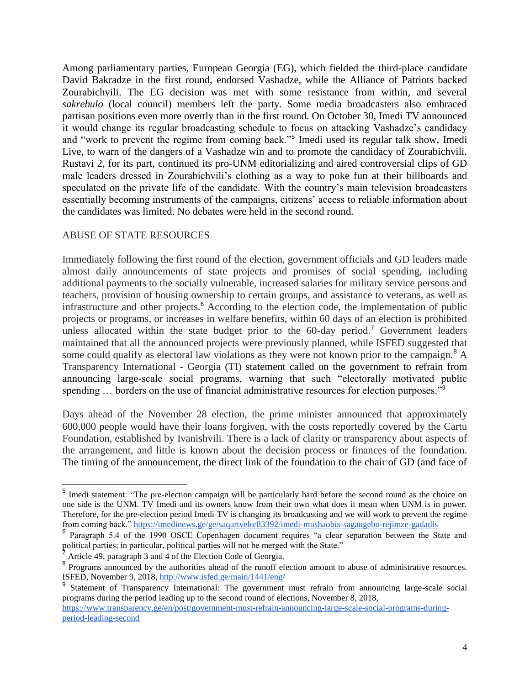Among parliamentary parties, European Georgia (EG), which fielded the third-place candidate David Bakradze in the first round, endorsed Vashadze, while the Alliance of Patriots backed Zourabichvili. The EG decision was met with some resistance from within, and several *sakrebulo* (local council) members left the party. Some media broadcasters also embraced partisan positions even more overtly than in the first round. On October 30, Imedi TV announced it would change its regular broadcasting schedule to focus on attacking Vashadze's candidacy and "work to prevent the regime from coming back."<sup>5</sup> Imedi used its regular talk show, Imedi Live, to warn of the dangers of a Vashadze win and to promote the candidacy of Zourabichvili. Rustavi 2, for its part, continued its pro-UNM editorializing and aired controversial clips of GD male leaders dressed in Zourabichvili's clothing as a way to poke fun at their billboards and speculated on the private life of the candidate. With the country's main television broadcasters essentially becoming instruments of the campaigns, citizens' access to reliable information about the candidates was limited. No debates were held in the second round.

### ABUSE OF STATE RESOURCES

Immediately following the first round of the election, government officials and GD leaders made almost daily announcements of state projects and promises of social spending, including additional payments to the socially vulnerable, increased salaries for military service persons and teachers, provision of housing ownership to certain groups, and assistance to veterans, as well as infrastructure and other projects.<sup>6</sup> According to the election code, the implementation of public projects or programs, or increases in welfare benefits, within 60 days of an election is prohibited unless allocated within the state budget prior to the  $60$ -day period.<sup>7</sup> Government leaders maintained that all the announced projects were previously planned, while ISFED suggested that some could qualify as electoral law violations as they were not known prior to the campaign.<sup>8</sup> A Transparency International - Georgia (TI) statement called on the government to refrain from announcing large-scale social programs, warning that such "electorally motivated public spending ... borders on the use of financial administrative resources for election purposes."<sup>9</sup>

Days ahead of the November 28 election, the prime minister announced that approximately 600,000 people would have their loans forgiven, with the costs reportedly covered by the Cartu Foundation, established by Ivanishvili. There is a lack of clarity or transparency about aspects of the arrangement, and little is known about the decision process or finances of the foundation. The timing of the announcement, the direct link of the foundation to the chair of GD (and face of

<sup>&</sup>lt;sup>5</sup> Imedi statement: "The pre-election campaign will be particularly hard before the second round as the choice on one side is the UNM. TV Imedi and its owners know from their own what does it mean when UNM is in power. Therefore, for the pre-election period Imedi TV is changing its broadcasting and we will work to prevent the regime from coming back.[" https://imedinews.ge/ge/saqartvelo/83392/imedi-mushaobis-sagangebo-rejimze-gadadis](https://imedinews.ge/ge/saqartvelo/83392/imedi-mushaobis-sagangebo-rejimze-gadadis)

<sup>&</sup>lt;sup>6</sup> Paragraph 5.4 of the 1990 OSCE Copenhagen document requires "a clear separation between the State and political parties; in particular, political parties will not be merged with the State."

Article 49, paragraph 3 and 4 of the Election Code of Georgia.

<sup>&</sup>lt;sup>8</sup> Programs announced by the authorities ahead of the runoff election amount to abuse of administrative resources. ISFED, November 9, 2018,<http://www.isfed.ge/main/1441/eng/>

<sup>&</sup>lt;sup>9</sup> Statement of Transparency International: The government must refrain from announcing large-scale social programs during the period leading up to the second round of elections, November 8, 2018,

[https://www.transparency.ge/en/post/government-must-refrain-announcing-large-scale-social-programs-during](https://www.transparency.ge/en/post/government-must-refrain-announcing-large-scale-social-programs-during-period-leading-second)[period-leading-second](https://www.transparency.ge/en/post/government-must-refrain-announcing-large-scale-social-programs-during-period-leading-second)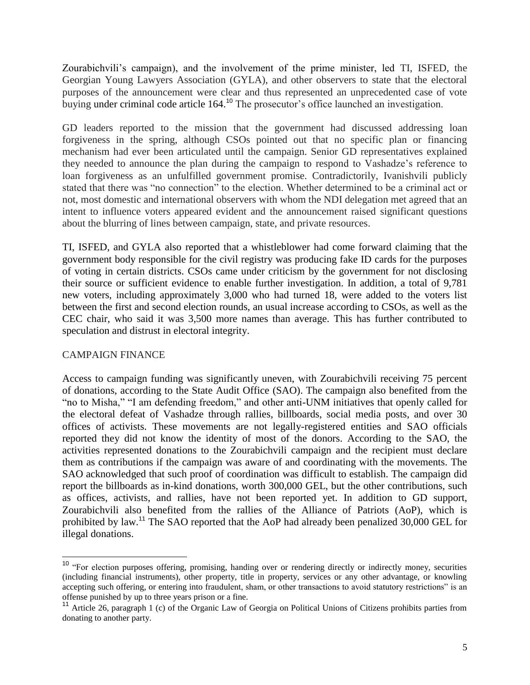Zourabichvili's campaign), and the involvement of the prime minister, led TI, ISFED, the Georgian Young Lawyers Association (GYLA), and other observers to state that the electoral purposes of the announcement were clear and thus represented an unprecedented case of vote buying under criminal code article 164.<sup>10</sup> The prosecutor's office launched an investigation.

GD leaders reported to the mission that the government had discussed addressing loan forgiveness in the spring, although CSOs pointed out that no specific plan or financing mechanism had ever been articulated until the campaign. Senior GD representatives explained they needed to announce the plan during the campaign to respond to Vashadze's reference to loan forgiveness as an unfulfilled government promise. Contradictorily, Ivanishvili publicly stated that there was "no connection" to the election. Whether determined to be a criminal act or not, most domestic and international observers with whom the NDI delegation met agreed that an intent to influence voters appeared evident and the announcement raised significant questions about the blurring of lines between campaign, state, and private resources.

TI, ISFED, and GYLA also reported that a whistleblower had come forward claiming that the government body responsible for the civil registry was producing fake ID cards for the purposes of voting in certain districts. CSOs came under criticism by the government for not disclosing their source or sufficient evidence to enable further investigation. In addition, a total of 9,781 new voters, including approximately 3,000 who had turned 18, were added to the voters list between the first and second election rounds, an usual increase according to CSOs, as well as the CEC chair, who said it was 3,500 more names than average. This has further contributed to speculation and distrust in electoral integrity.

## CAMPAIGN FINANCE

 $\overline{a}$ 

Access to campaign funding was significantly uneven, with Zourabichvili receiving 75 percent of donations, according to the State Audit Office (SAO). The campaign also benefited from the "no to Misha," "I am defending freedom," and other anti-UNM initiatives that openly called for the electoral defeat of Vashadze through rallies, billboards, social media posts, and over 30 offices of activists. These movements are not legally-registered entities and SAO officials reported they did not know the identity of most of the donors. According to the SAO, the activities represented donations to the Zourabichvili campaign and the recipient must declare them as contributions if the campaign was aware of and coordinating with the movements. The SAO acknowledged that such proof of coordination was difficult to establish. The campaign did report the billboards as in-kind donations, worth 300,000 GEL, but the other contributions, such as offices, activists, and rallies, have not been reported yet. In addition to GD support, Zourabichvili also benefited from the rallies of the Alliance of Patriots (AoP), which is prohibited by law.<sup>11</sup> The SAO reported that the AoP had already been penalized 30,000 GEL for illegal donations.

<sup>&</sup>lt;sup>10</sup> "For election purposes offering, promising, handing over or rendering directly or indirectly money, securities (including financial instruments), other property, title in property, services or any other advantage, or knowling accepting such offering, or entering into fraudulent, sham, or other transactions to avoid statutory restrictions" is an offense punished by up to three years prison or a fine.

<sup>&</sup>lt;sup>11</sup> Article 26, paragraph 1 (c) of the Organic Law of Georgia on Political Unions of Citizens prohibits parties from donating to another party.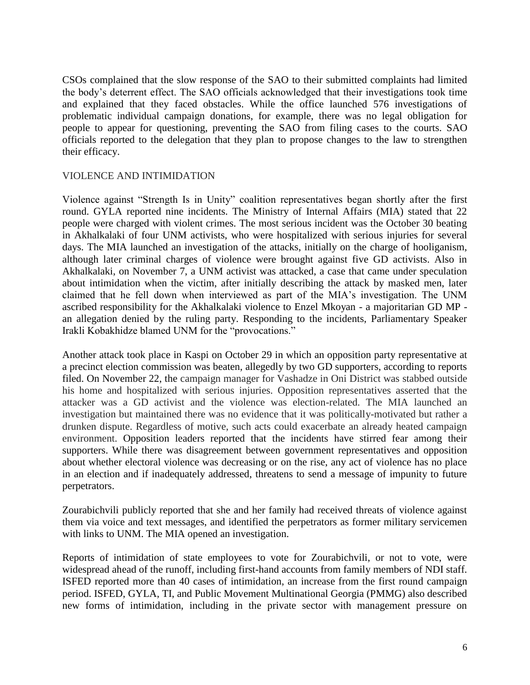CSOs complained that the slow response of the SAO to their submitted complaints had limited the body's deterrent effect. The SAO officials acknowledged that their investigations took time and explained that they faced obstacles. While the office launched 576 investigations of problematic individual campaign donations, for example, there was no legal obligation for people to appear for questioning, preventing the SAO from filing cases to the courts. SAO officials reported to the delegation that they plan to propose changes to the law to strengthen their efficacy.

### VIOLENCE AND INTIMIDATION

Violence against "Strength Is in Unity" coalition representatives began shortly after the first round. GYLA reported nine incidents. The Ministry of Internal Affairs (MIA) stated that 22 people were charged with violent crimes. The most serious incident was the October 30 beating in Akhalkalaki of four UNM activists, who were hospitalized with serious injuries for several days. The MIA launched an investigation of the attacks, initially on the charge of hooliganism, although later criminal charges of violence were brought against five GD activists. Also in Akhalkalaki, on November 7, a UNM activist was attacked, a case that came under speculation about intimidation when the victim, after initially describing the attack by masked men, later claimed that he fell down when interviewed as part of the MIA's investigation. The UNM ascribed responsibility for the Akhalkalaki violence to Enzel Mkoyan - a majoritarian GD MP an allegation denied by the ruling party. Responding to the incidents, Parliamentary Speaker Irakli Kobakhidze blamed UNM for the "provocations."

Another attack took place in Kaspi on October 29 in which an opposition party representative at a precinct election commission was beaten, allegedly by two GD supporters, according to reports filed. On November 22, the campaign manager for Vashadze in Oni District was stabbed outside his home and hospitalized with serious injuries. Opposition representatives asserted that the attacker was a GD activist and the violence was election-related. The MIA launched an investigation but maintained there was no evidence that it was politically-motivated but rather a drunken dispute. Regardless of motive, such acts could exacerbate an already heated campaign environment. Opposition leaders reported that the incidents have stirred fear among their supporters. While there was disagreement between government representatives and opposition about whether electoral violence was decreasing or on the rise, any act of violence has no place in an election and if inadequately addressed, threatens to send a message of impunity to future perpetrators.

Zourabichvili publicly reported that she and her family had received threats of violence against them via voice and text messages, and identified the perpetrators as former military servicemen with links to UNM. The MIA opened an investigation.

Reports of intimidation of state employees to vote for Zourabichvili, or not to vote, were widespread ahead of the runoff, including first-hand accounts from family members of NDI staff. ISFED reported more than 40 cases of intimidation, an increase from the first round campaign period. ISFED, GYLA, TI, and Public Movement Multinational Georgia (PMMG) also described new forms of intimidation, including in the private sector with management pressure on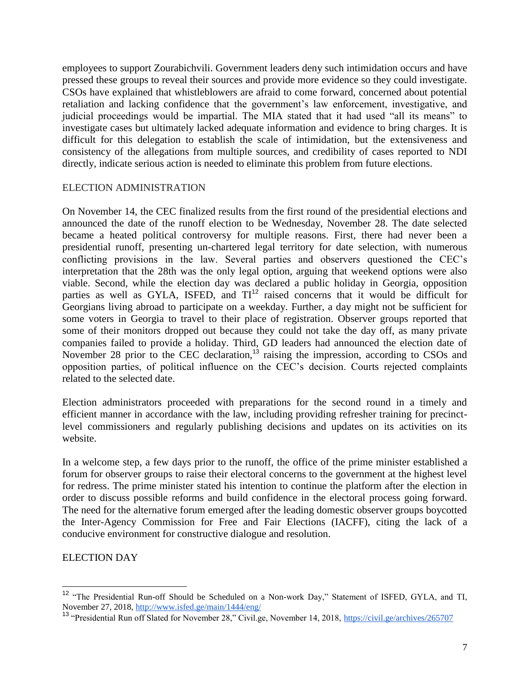employees to support Zourabichvili. Government leaders deny such intimidation occurs and have pressed these groups to reveal their sources and provide more evidence so they could investigate. CSOs have explained that whistleblowers are afraid to come forward, concerned about potential retaliation and lacking confidence that the government's law enforcement, investigative, and judicial proceedings would be impartial. The MIA stated that it had used "all its means" to investigate cases but ultimately lacked adequate information and evidence to bring charges. It is difficult for this delegation to establish the scale of intimidation, but the extensiveness and consistency of the allegations from multiple sources, and credibility of cases reported to NDI directly, indicate serious action is needed to eliminate this problem from future elections.

### ELECTION ADMINISTRATION

On November 14, the CEC finalized results from the first round of the presidential elections and announced the date of the runoff election to be Wednesday, November 28. The date selected became a heated political controversy for multiple reasons. First, there had never been a presidential runoff, presenting un-chartered legal territory for date selection, with numerous conflicting provisions in the law. Several parties and observers questioned the CEC's interpretation that the 28th was the only legal option, arguing that weekend options were also viable. Second, while the election day was declared a public holiday in Georgia, opposition parties as well as GYLA, ISFED, and  $TI<sup>12</sup>$  raised concerns that it would be difficult for Georgians living abroad to participate on a weekday. Further, a day might not be sufficient for some voters in Georgia to travel to their place of registration. Observer groups reported that some of their monitors dropped out because they could not take the day off, as many private companies failed to provide a holiday. Third, GD leaders had announced the election date of November 28 prior to the CEC declaration,<sup>13</sup> raising the impression, according to CSOs and opposition parties, of political influence on the CEC's decision. Courts rejected complaints related to the selected date.

Election administrators proceeded with preparations for the second round in a timely and efficient manner in accordance with the law, including providing refresher training for precinctlevel commissioners and regularly publishing decisions and updates on its activities on its website.

In a welcome step, a few days prior to the runoff, the office of the prime minister established a forum for observer groups to raise their electoral concerns to the government at the highest level for redress. The prime minister stated his intention to continue the platform after the election in order to discuss possible reforms and build confidence in the electoral process going forward. The need for the alternative forum emerged after the leading domestic observer groups boycotted the Inter-Agency Commission for Free and Fair Elections (IACFF), citing the lack of a conducive environment for constructive dialogue and resolution.

### ELECTION DAY

 $\overline{a}$ 

<sup>&</sup>lt;sup>12</sup> "The Presidential Run-off Should be Scheduled on a Non-work Day," Statement of ISFED, GYLA, and TI, November 27, 2018[, http://www.isfed.ge/main/1444/eng/](http://www.isfed.ge/main/1444/eng/)

<sup>&</sup>lt;sup>13</sup> "Presidential Run off Slated for November 28," Civil.ge, November 14, 2018,<https://civil.ge/archives/265707>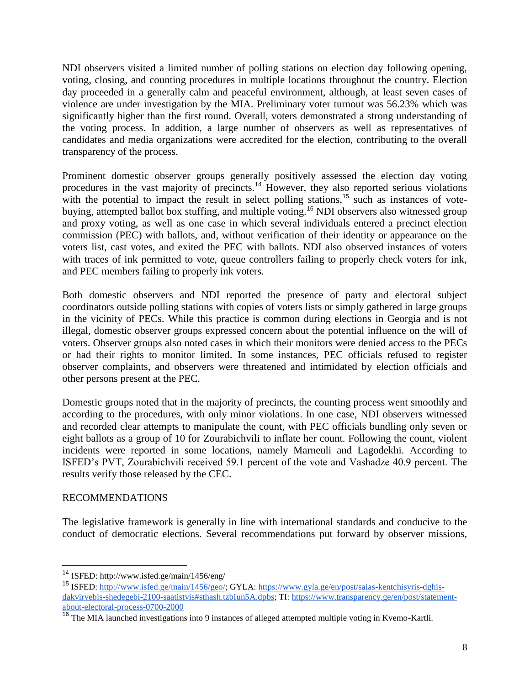NDI observers visited a limited number of polling stations on election day following opening, voting, closing, and counting procedures in multiple locations throughout the country. Election day proceeded in a generally calm and peaceful environment, although, at least seven cases of violence are under investigation by the MIA. Preliminary voter turnout was 56.23% which was significantly higher than the first round. Overall, voters demonstrated a strong understanding of the voting process. In addition, a large number of observers as well as representatives of candidates and media organizations were accredited for the election, contributing to the overall transparency of the process.

Prominent domestic observer groups generally positively assessed the election day voting procedures in the vast majority of precincts.<sup>14</sup> However, they also reported serious violations with the potential to impact the result in select polling stations,<sup>15</sup> such as instances of votebuying, attempted ballot box stuffing, and multiple voting.<sup>16</sup> NDI observers also witnessed group and proxy voting, as well as one case in which several individuals entered a precinct election commission (PEC) with ballots, and, without verification of their identity or appearance on the voters list, cast votes, and exited the PEC with ballots. NDI also observed instances of voters with traces of ink permitted to vote, queue controllers failing to properly check voters for ink, and PEC members failing to properly ink voters.

Both domestic observers and NDI reported the presence of party and electoral subject coordinators outside polling stations with copies of voters lists or simply gathered in large groups in the vicinity of PECs. While this practice is common during elections in Georgia and is not illegal, domestic observer groups expressed concern about the potential influence on the will of voters. Observer groups also noted cases in which their monitors were denied access to the PECs or had their rights to monitor limited. In some instances, PEC officials refused to register observer complaints, and observers were threatened and intimidated by election officials and other persons present at the PEC.

Domestic groups noted that in the majority of precincts, the counting process went smoothly and according to the procedures, with only minor violations. In one case, NDI observers witnessed and recorded clear attempts to manipulate the count, with PEC officials bundling only seven or eight ballots as a group of 10 for Zourabichvili to inflate her count. Following the count, violent incidents were reported in some locations, namely Marneuli and Lagodekhi. According to ISFED's PVT, Zourabichvili received 59.1 percent of the vote and Vashadze 40.9 percent. The results verify those released by the CEC.

## RECOMMENDATIONS

The legislative framework is generally in line with international standards and conducive to the conduct of democratic elections. Several recommendations put forward by observer missions,

<sup>14</sup> ISFED: http://www.isfed.ge/main/1456/eng/

<sup>15</sup> ISFED: [http://www.isfed.ge/main/1456/geo/;](http://www.isfed.ge/main/1456/geo/) GYLA[: https://www.gyla.ge/en/post/saias-kentchisyris-dghis](https://www.gyla.ge/en/post/saias-kentchisyris-dghis-dakvirvebis-shedegebi-2100-saatistvis#sthash.tzbIun5A.dpbs)[dakvirvebis-shedegebi-2100-saatistvis#sthash.tzbIun5A.dpbs;](https://www.gyla.ge/en/post/saias-kentchisyris-dghis-dakvirvebis-shedegebi-2100-saatistvis#sthash.tzbIun5A.dpbs) TI: [https://www.transparency.ge/en/post/statement](https://www.transparency.ge/en/post/statement-about-electoral-process-0700-2000)[about-electoral-process-0700-2000](https://www.transparency.ge/en/post/statement-about-electoral-process-0700-2000)

<sup>&</sup>lt;sup>16</sup> The MIA launched investigations into 9 instances of alleged attempted multiple voting in Kvemo-Kartli.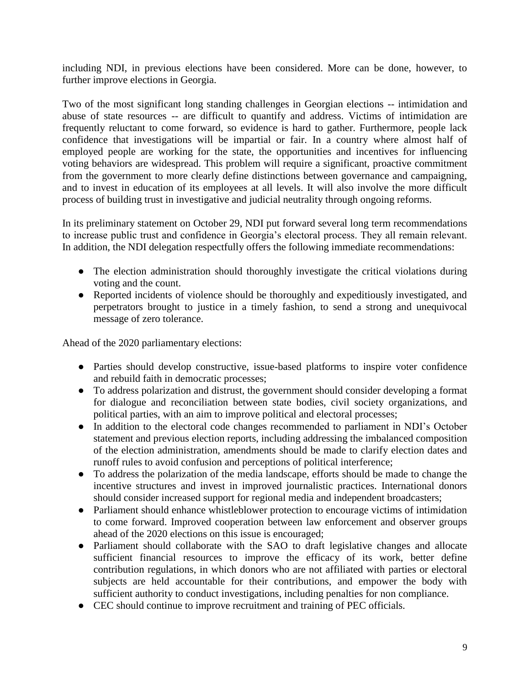including NDI, in previous elections have been considered. More can be done, however, to further improve elections in Georgia.

Two of the most significant long standing challenges in Georgian elections -- intimidation and abuse of state resources -- are difficult to quantify and address. Victims of intimidation are frequently reluctant to come forward, so evidence is hard to gather. Furthermore, people lack confidence that investigations will be impartial or fair. In a country where almost half of employed people are working for the state, the opportunities and incentives for influencing voting behaviors are widespread. This problem will require a significant, proactive commitment from the government to more clearly define distinctions between governance and campaigning, and to invest in education of its employees at all levels. It will also involve the more difficult process of building trust in investigative and judicial neutrality through ongoing reforms.

In its preliminary statement on October 29, NDI put forward several long term recommendations to increase public trust and confidence in Georgia's electoral process. They all remain relevant. In addition, the NDI delegation respectfully offers the following immediate recommendations:

- The election administration should thoroughly investigate the critical violations during voting and the count.
- Reported incidents of violence should be thoroughly and expeditiously investigated, and perpetrators brought to justice in a timely fashion, to send a strong and unequivocal message of zero tolerance.

Ahead of the 2020 parliamentary elections:

- Parties should develop constructive, issue-based platforms to inspire voter confidence and rebuild faith in democratic processes;
- To address polarization and distrust, the government should consider developing a format for dialogue and reconciliation between state bodies, civil society organizations, and political parties, with an aim to improve political and electoral processes;
- In addition to the electoral code changes recommended to parliament in NDI's October statement and previous election reports, including addressing the imbalanced composition of the election administration, amendments should be made to clarify election dates and runoff rules to avoid confusion and perceptions of political interference;
- To address the polarization of the media landscape, efforts should be made to change the incentive structures and invest in improved journalistic practices. International donors should consider increased support for regional media and independent broadcasters;
- Parliament should enhance whistleblower protection to encourage victims of intimidation to come forward. Improved cooperation between law enforcement and observer groups ahead of the 2020 elections on this issue is encouraged;
- Parliament should collaborate with the SAO to draft legislative changes and allocate sufficient financial resources to improve the efficacy of its work, better define contribution regulations, in which donors who are not affiliated with parties or electoral subjects are held accountable for their contributions, and empower the body with sufficient authority to conduct investigations, including penalties for non compliance.
- CEC should continue to improve recruitment and training of PEC officials.